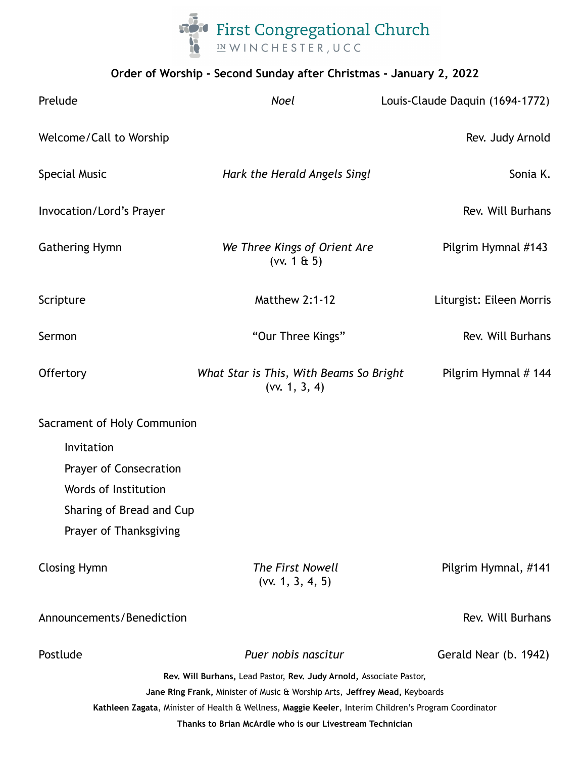

# **Order of Worship - Second Sunday after Christmas - January 2, 2022**

| Prelude                                                                                                                                                           | <b>Noel</b>                                                         | Louis-Claude Daquin (1694-1772) |
|-------------------------------------------------------------------------------------------------------------------------------------------------------------------|---------------------------------------------------------------------|---------------------------------|
| Welcome/Call to Worship                                                                                                                                           |                                                                     | Rev. Judy Arnold                |
| <b>Special Music</b>                                                                                                                                              | Hark the Herald Angels Sing!                                        | Sonia K.                        |
| Invocation/Lord's Prayer                                                                                                                                          |                                                                     | Rev. Will Burhans               |
| <b>Gathering Hymn</b>                                                                                                                                             | We Three Kings of Orient Are<br>(vv. 1 $\&$ 5)                      | Pilgrim Hymnal #143             |
| Scripture                                                                                                                                                         | <b>Matthew 2:1-12</b>                                               | Liturgist: Eileen Morris        |
| Sermon                                                                                                                                                            | "Our Three Kings"                                                   | Rev. Will Burhans               |
| Offertory                                                                                                                                                         | What Star is This, With Beams So Bright<br>(vv. 1, 3, 4)            | Pilgrim Hymnal # 144            |
| Sacrament of Holy Communion                                                                                                                                       |                                                                     |                                 |
| Invitation                                                                                                                                                        |                                                                     |                                 |
| Prayer of Consecration                                                                                                                                            |                                                                     |                                 |
| Words of Institution                                                                                                                                              |                                                                     |                                 |
| Sharing of Bread and Cup                                                                                                                                          |                                                                     |                                 |
| Prayer of Thanksgiving                                                                                                                                            |                                                                     |                                 |
| <b>Closing Hymn</b>                                                                                                                                               | The First Nowell<br>(vv. 1, 3, 4, 5)                                | Pilgrim Hymnal, #141            |
| Announcements/Benediction                                                                                                                                         |                                                                     | Rev. Will Burhans               |
| Postlude                                                                                                                                                          | Puer nobis nascitur                                                 | Gerald Near (b. 1942)           |
|                                                                                                                                                                   | Rev. Will Burhans, Lead Pastor, Rev. Judy Arnold, Associate Pastor, |                                 |
| Jane Ring Frank, Minister of Music & Worship Arts, Jeffrey Mead, Keyboards                                                                                        |                                                                     |                                 |
| Kathleen Zagata, Minister of Health & Wellness, Maggie Keeler, Interim Children's Program Coordinator<br>Thanks to Brian McArdle who is our Livestream Technician |                                                                     |                                 |
|                                                                                                                                                                   |                                                                     |                                 |